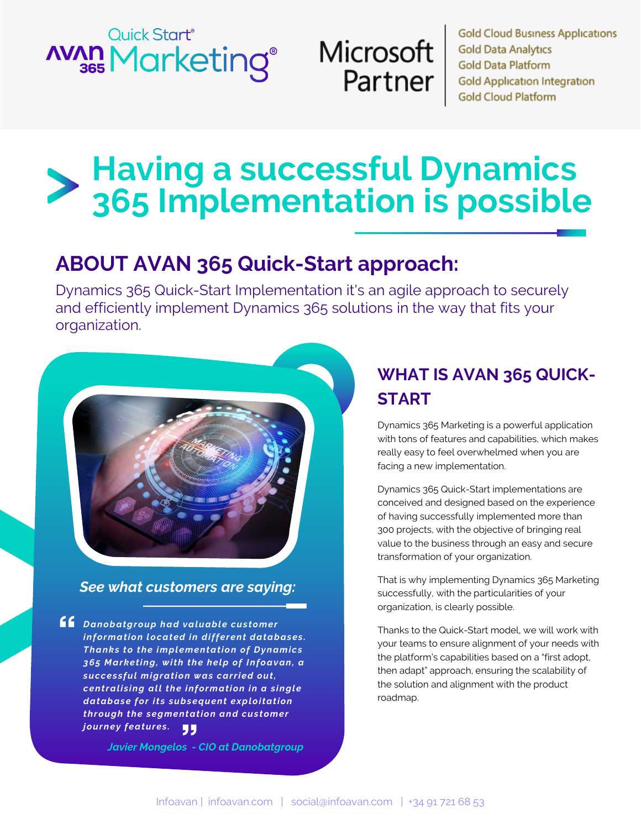# Quick Start<sup>®</sup> **AVAN Marketing®**

# Microsoft Partner

**Gold Cloud Business Applications Gold Data Analytics Gold Data Platform Gold Application Integration Gold Cloud Platform** 

# **Having a successful Dynamics 365 Implementation is possible**

# **ABOUT AVAN 365 Quick-Start approach:**

Dynamics 365 Quick-Start Implementation it's an agile approach to securely and efficiently implement Dynamics 365 solutions in the way that fits your organization.

#### *See what customers are saying:*

**66** Danobatgroup had valuable customer information located in different databases. **Thanks to the implementation of Dynamics** *36 5 M a r ketin g , wi t h t h e h el p of In foa v an, a*  successful migration was carried out, *centralising all the information in a single d atab as e for i t s s ub s eq uen t ex p l oi tation through the segmentation and customer j our n ey fea t ures .* 99

*Javier Mongelos - CIO at Danobatgroup*

# **WHAT IS AVAN 365 QUICK-START**

Dynamics 365 Marketing is a powerful application with tons of features and capabilities, which makes really easy to feel overwhelmed when you are facing a new implementation.

Dynamics 365 Quick-Start implementations are conceived and designed based on the experience of having successfully implemented more than 300 projects, with the objective of bringing real value to the business through an easy and secure transformation of your organization.

That is why implementing Dynamics 365 Marketing successfully, with the particularities of your organization, is clearly possible.

Thanks to the Quick-Start model, we will work with your teams to ensure alignment of your needs with the platform's capabilities based on a "first adopt, then adapt" approach, ensuring the scalability of the solution and alignment with the product roadmap.